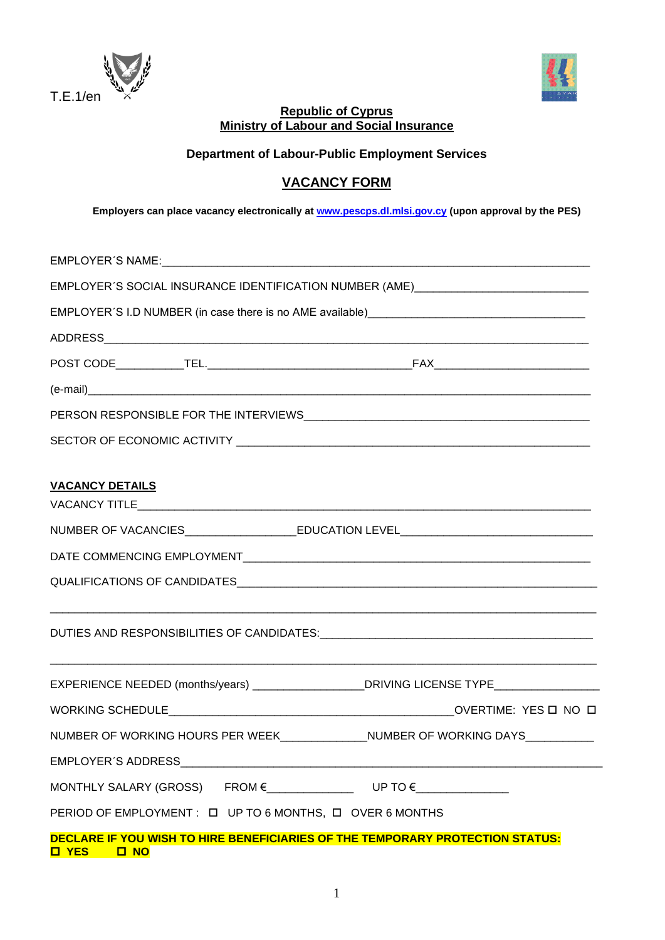



# **Republic of Cyprus Ministry of Labour and Social Insurance**

**Department of Labour-Public Employment Services** 

# **VACANCY FORM**

**Employers can place vacancy electronically at [www.pescps.dl.mlsi.gov.cy](http://www.pescps.dl.mlsi.gov.cy/) (upon approval by the PES)**

| EMPLOYER'S SOCIAL INSURANCE IDENTIFICATION NUMBER (AME)_________________________                              |  |  |  |  |  |  |
|---------------------------------------------------------------------------------------------------------------|--|--|--|--|--|--|
|                                                                                                               |  |  |  |  |  |  |
|                                                                                                               |  |  |  |  |  |  |
|                                                                                                               |  |  |  |  |  |  |
|                                                                                                               |  |  |  |  |  |  |
|                                                                                                               |  |  |  |  |  |  |
|                                                                                                               |  |  |  |  |  |  |
|                                                                                                               |  |  |  |  |  |  |
| <b>VACANCY DETAILS</b>                                                                                        |  |  |  |  |  |  |
| NUMBER OF VACANCIES__________________________EDUCATION LEVEL_____________________                             |  |  |  |  |  |  |
|                                                                                                               |  |  |  |  |  |  |
|                                                                                                               |  |  |  |  |  |  |
|                                                                                                               |  |  |  |  |  |  |
|                                                                                                               |  |  |  |  |  |  |
| EXPERIENCE NEEDED (months/years) ____________________DRIVING LICENSE TYPE__________________________           |  |  |  |  |  |  |
|                                                                                                               |  |  |  |  |  |  |
| NUMBER OF WORKING HOURS PER WEEK NEER NUMBER OF WORKING DAYS                                                  |  |  |  |  |  |  |
|                                                                                                               |  |  |  |  |  |  |
|                                                                                                               |  |  |  |  |  |  |
| PERIOD OF EMPLOYMENT: $\Box$ UP TO 6 MONTHS, $\Box$ OVER 6 MONTHS                                             |  |  |  |  |  |  |
| DECLARE IF YOU WISH TO HIRE BENEFICIARIES OF THE TEMPORARY PROTECTION STATUS:<br><b>ON DI</b><br><b>O</b> YES |  |  |  |  |  |  |